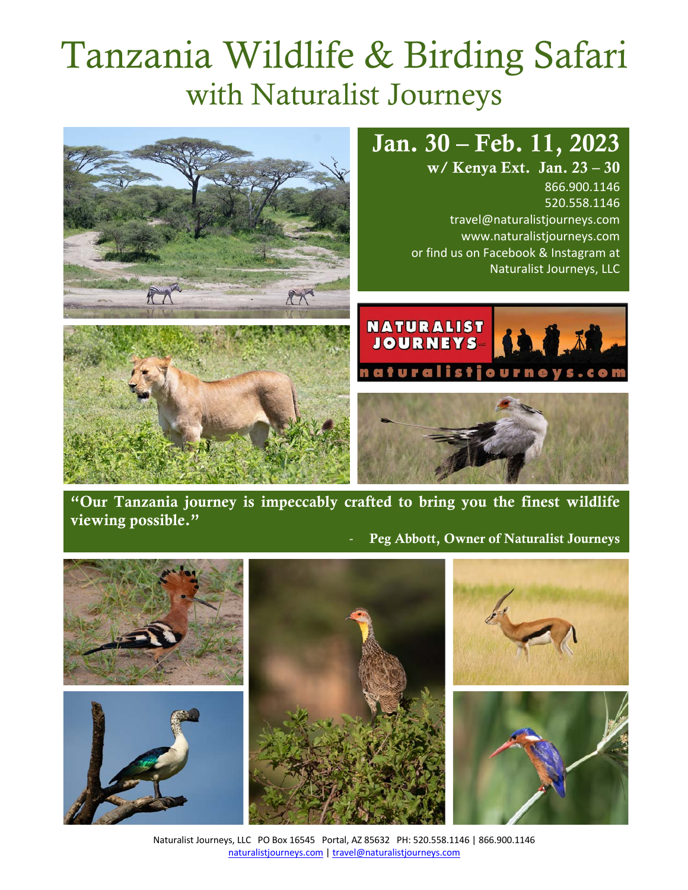# Tanzania Wildlife & Birding Safari with Naturalist Journeys



"Our Tanzania journey is impeccably crafted to bring you the finest wildlife viewing possible."

Peg Abbott, Owner of Naturalist Journeys



Naturalist Journeys, LLC PO Box 16545 Portal, AZ 85632 PH: 520.558.1146 | 866.900.1146 naturalistjourneys.com | travel@naturalistjourneys.com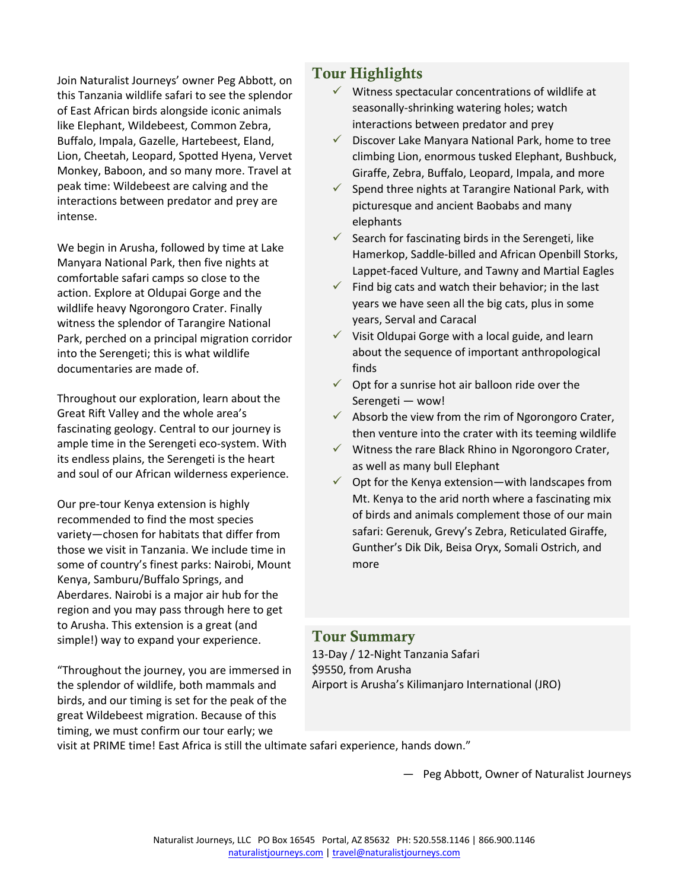Join Naturalist Journeys' owner Peg Abbott, on this Tanzania wildlife safari to see the splendor of East African birds alongside iconic animals like Elephant, Wildebeest, Common Zebra, Buffalo, Impala, Gazelle, Hartebeest, Eland, Lion, Cheetah, Leopard, Spotted Hyena, Vervet Monkey, Baboon, and so many more. Travel at peak time: Wildebeest are calving and the interactions between predator and prey are intense.

We begin in Arusha, followed by time at Lake Manyara National Park, then five nights at comfortable safari camps so close to the action. Explore at Oldupai Gorge and the wildlife heavy Ngorongoro Crater. Finally witness the splendor of Tarangire National Park, perched on a principal migration corridor into the Serengeti; this is what wildlife documentaries are made of.

Throughout our exploration, learn about the Great Rift Valley and the whole area's fascinating geology. Central to our journey is ample time in the Serengeti eco-system. With its endless plains, the Serengeti is the heart and soul of our African wilderness experience.

Our pre-tour Kenya extension is highly recommended to find the most species variety—chosen for habitats that differ from those we visit in Tanzania. We include time in some of country's finest parks: Nairobi, Mount Kenya, Samburu/Buffalo Springs, and Aberdares. Nairobi is a major air hub for the region and you may pass through here to get to Arusha. This extension is a great (and simple!) way to expand your experience.

"Throughout the journey, you are immersed in the splendor of wildlife, both mammals and birds, and our timing is set for the peak of the great Wildebeest migration. Because of this timing, we must confirm our tour early; we

# Tour Highlights

- $\checkmark$  Witness spectacular concentrations of wildlife at seasonally-shrinking watering holes; watch interactions between predator and prey
- $\checkmark$  Discover Lake Manyara National Park, home to tree climbing Lion, enormous tusked Elephant, Bushbuck, Giraffe, Zebra, Buffalo, Leopard, Impala, and more
- $\checkmark$  Spend three nights at Tarangire National Park, with picturesque and ancient Baobabs and many elephants
- $\checkmark$  Search for fascinating birds in the Serengeti, like Hamerkop, Saddle-billed and African Openbill Storks, Lappet-faced Vulture, and Tawny and Martial Eagles
- $\checkmark$  Find big cats and watch their behavior; in the last years we have seen all the big cats, plus in some years, Serval and Caracal
- $\checkmark$  Visit Oldupai Gorge with a local guide, and learn about the sequence of important anthropological finds
- $\checkmark$  Opt for a sunrise hot air balloon ride over the Serengeti — wow!
- $\checkmark$  Absorb the view from the rim of Ngorongoro Crater, then venture into the crater with its teeming wildlife
- $\checkmark$  Witness the rare Black Rhino in Ngorongoro Crater, as well as many bull Elephant
- $\checkmark$  Opt for the Kenya extension—with landscapes from Mt. Kenya to the arid north where a fascinating mix of birds and animals complement those of our main safari: Gerenuk, Grevy's Zebra, Reticulated Giraffe, Gunther's Dik Dik, Beisa Oryx, Somali Ostrich, and more

#### Tour Summary

13-Day / 12-Night Tanzania Safari \$9550, from Arusha Airport is Arusha's Kilimanjaro International (JRO)

visit at PRIME time! East Africa is still the ultimate safari experience, hands down."

— Peg Abbott, Owner of Naturalist Journeys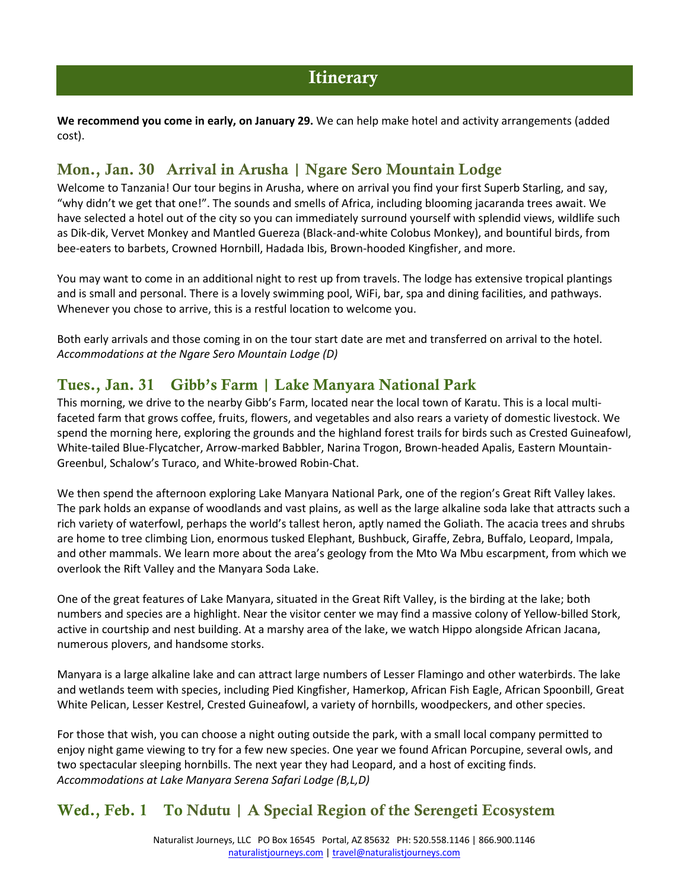**We recommend you come in early, on January 29.** We can help make hotel and activity arrangements (added cost).

## Mon., Jan. 30 Arrival in Arusha | Ngare Sero Mountain Lodge

Welcome to Tanzania! Our tour begins in Arusha, where on arrival you find your first Superb Starling, and say, "why didn't we get that one!". The sounds and smells of Africa, including blooming jacaranda trees await. We have selected a hotel out of the city so you can immediately surround yourself with splendid views, wildlife such as Dik-dik, Vervet Monkey and Mantled Guereza (Black-and-white Colobus Monkey), and bountiful birds, from bee-eaters to barbets, Crowned Hornbill, Hadada Ibis, Brown-hooded Kingfisher, and more.

You may want to come in an additional night to rest up from travels. The lodge has extensive tropical plantings and is small and personal. There is a lovely swimming pool, WiFi, bar, spa and dining facilities, and pathways. Whenever you chose to arrive, this is a restful location to welcome you.

Both early arrivals and those coming in on the tour start date are met and transferred on arrival to the hotel. *Accommodations at the Ngare Sero Mountain Lodge (D)*

#### Tues., Jan. 31 Gibb's Farm | Lake Manyara National Park

This morning, we drive to the nearby Gibb's Farm, located near the local town of Karatu. This is a local multifaceted farm that grows coffee, fruits, flowers, and vegetables and also rears a variety of domestic livestock. We spend the morning here, exploring the grounds and the highland forest trails for birds such as Crested Guineafowl, White-tailed Blue-Flycatcher, Arrow-marked Babbler, Narina Trogon, Brown-headed Apalis, Eastern Mountain-Greenbul, Schalow's Turaco, and White-browed Robin-Chat.

We then spend the afternoon exploring Lake Manyara National Park, one of the region's Great Rift Valley lakes. The park holds an expanse of woodlands and vast plains, as well as the large alkaline soda lake that attracts such a rich variety of waterfowl, perhaps the world's tallest heron, aptly named the Goliath. The acacia trees and shrubs are home to tree climbing Lion, enormous tusked Elephant, Bushbuck, Giraffe, Zebra, Buffalo, Leopard, Impala, and other mammals. We learn more about the area's geology from the Mto Wa Mbu escarpment, from which we overlook the Rift Valley and the Manyara Soda Lake.

One of the great features of Lake Manyara, situated in the Great Rift Valley, is the birding at the lake; both numbers and species are a highlight. Near the visitor center we may find a massive colony of Yellow-billed Stork, active in courtship and nest building. At a marshy area of the lake, we watch Hippo alongside African Jacana, numerous plovers, and handsome storks.

Manyara is a large alkaline lake and can attract large numbers of Lesser Flamingo and other waterbirds. The lake and wetlands teem with species, including Pied Kingfisher, Hamerkop, African Fish Eagle, African Spoonbill, Great White Pelican, Lesser Kestrel, Crested Guineafowl, a variety of hornbills, woodpeckers, and other species.

For those that wish, you can choose a night outing outside the park, with a small local company permitted to enjoy night game viewing to try for a few new species. One year we found African Porcupine, several owls, and two spectacular sleeping hornbills. The next year they had Leopard, and a host of exciting finds. *Accommodations at Lake Manyara Serena Safari Lodge (B,L,D)*

# Wed., Feb. 1 To Ndutu | A Special Region of the Serengeti Ecosystem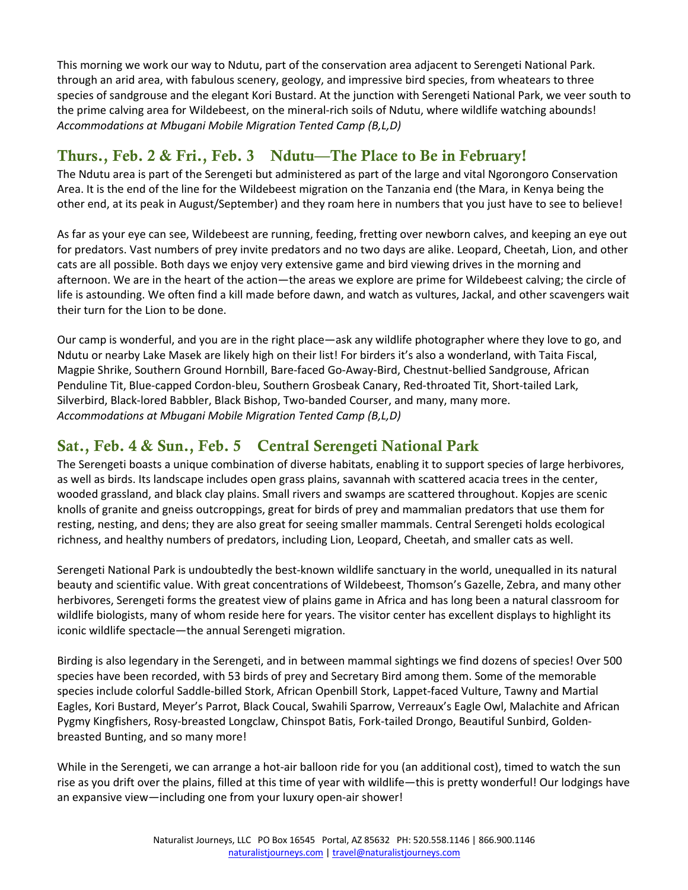This morning we work our way to Ndutu, part of the conservation area adjacent to Serengeti National Park. through an arid area, with fabulous scenery, geology, and impressive bird species, from wheatears to three species of sandgrouse and the elegant Kori Bustard. At the junction with Serengeti National Park, we veer south to the prime calving area for Wildebeest, on the mineral-rich soils of Ndutu, where wildlife watching abounds! *Accommodations at Mbugani Mobile Migration Tented Camp (B,L,D)*

# Thurs., Feb. 2 & Fri., Feb. 3 Ndutu—The Place to Be in February!

The Ndutu area is part of the Serengeti but administered as part of the large and vital Ngorongoro Conservation Area. It is the end of the line for the Wildebeest migration on the Tanzania end (the Mara, in Kenya being the other end, at its peak in August/September) and they roam here in numbers that you just have to see to believe!

As far as your eye can see, Wildebeest are running, feeding, fretting over newborn calves, and keeping an eye out for predators. Vast numbers of prey invite predators and no two days are alike. Leopard, Cheetah, Lion, and other cats are all possible. Both days we enjoy very extensive game and bird viewing drives in the morning and afternoon. We are in the heart of the action—the areas we explore are prime for Wildebeest calving; the circle of life is astounding. We often find a kill made before dawn, and watch as vultures, Jackal, and other scavengers wait their turn for the Lion to be done.

Our camp is wonderful, and you are in the right place—ask any wildlife photographer where they love to go, and Ndutu or nearby Lake Masek are likely high on their list! For birders it's also a wonderland, with Taita Fiscal, Magpie Shrike, Southern Ground Hornbill, Bare-faced Go-Away-Bird, Chestnut-bellied Sandgrouse, African Penduline Tit, Blue-capped Cordon-bleu, Southern Grosbeak Canary, Red-throated Tit, Short-tailed Lark, Silverbird, Black-lored Babbler, Black Bishop, Two-banded Courser, and many, many more. *Accommodations at Mbugani Mobile Migration Tented Camp (B,L,D)*

#### Sat., Feb. 4 & Sun., Feb. 5 Central Serengeti National Park

The Serengeti boasts a unique combination of diverse habitats, enabling it to support species of large herbivores, as well as birds. Its landscape includes open grass plains, savannah with scattered acacia trees in the center, wooded grassland, and black clay plains. Small rivers and swamps are scattered throughout. Kopjes are scenic knolls of granite and gneiss outcroppings, great for birds of prey and mammalian predators that use them for resting, nesting, and dens; they are also great for seeing smaller mammals. Central Serengeti holds ecological richness, and healthy numbers of predators, including Lion, Leopard, Cheetah, and smaller cats as well.

Serengeti National Park is undoubtedly the best-known wildlife sanctuary in the world, unequalled in its natural beauty and scientific value. With great concentrations of Wildebeest, Thomson's Gazelle, Zebra, and many other herbivores, Serengeti forms the greatest view of plains game in Africa and has long been a natural classroom for wildlife biologists, many of whom reside here for years. The visitor center has excellent displays to highlight its iconic wildlife spectacle―the annual Serengeti migration.

Birding is also legendary in the Serengeti, and in between mammal sightings we find dozens of species! Over 500 species have been recorded, with 53 birds of prey and Secretary Bird among them. Some of the memorable species include colorful Saddle-billed Stork, African Openbill Stork, Lappet-faced Vulture, Tawny and Martial Eagles, Kori Bustard, Meyer's Parrot, Black Coucal, Swahili Sparrow, Verreaux's Eagle Owl, Malachite and African Pygmy Kingfishers, Rosy-breasted Longclaw, Chinspot Batis, Fork-tailed Drongo, Beautiful Sunbird, Goldenbreasted Bunting, and so many more!

While in the Serengeti, we can arrange a hot-air balloon ride for you (an additional cost), timed to watch the sun rise as you drift over the plains, filled at this time of year with wildlife—this is pretty wonderful! Our lodgings have an expansive view—including one from your luxury open-air shower!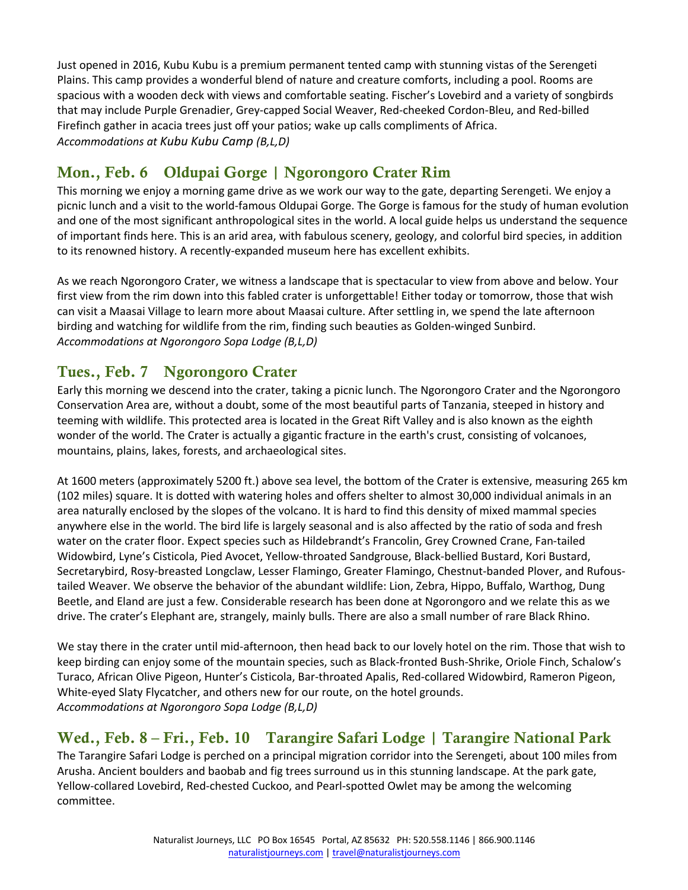Just opened in 2016, Kubu Kubu is a premium permanent tented camp with stunning vistas of the Serengeti Plains. This camp provides a wonderful blend of nature and creature comforts, including a pool. Rooms are spacious with a wooden deck with views and comfortable seating. Fischer's Lovebird and a variety of songbirds that may include Purple Grenadier, Grey-capped Social Weaver, Red-cheeked Cordon-Bleu, and Red-billed Firefinch gather in acacia trees just off your patios; wake up calls compliments of Africa. *Accommodations at Kubu Kubu Camp (B,L,D)*

# Mon., Feb. 6 Oldupai Gorge | Ngorongoro Crater Rim

This morning we enjoy a morning game drive as we work our way to the gate, departing Serengeti. We enjoy a picnic lunch and a visit to the world-famous Oldupai Gorge. The Gorge is famous for the study of human evolution and one of the most significant anthropological sites in the world. A local guide helps us understand the sequence of important finds here. This is an arid area, with fabulous scenery, geology, and colorful bird species, in addition to its renowned history. A recently-expanded museum here has excellent exhibits.

As we reach Ngorongoro Crater, we witness a landscape that is spectacular to view from above and below. Your first view from the rim down into this fabled crater is unforgettable! Either today or tomorrow, those that wish can visit a Maasai Village to learn more about Maasai culture. After settling in, we spend the late afternoon birding and watching for wildlife from the rim, finding such beauties as Golden-winged Sunbird. *Accommodations at Ngorongoro Sopa Lodge (B,L,D)*

# Tues., Feb. 7 Ngorongoro Crater

Early this morning we descend into the crater, taking a picnic lunch. The Ngorongoro Crater and the Ngorongoro Conservation Area are, without a doubt, some of the most beautiful parts of Tanzania, steeped in history and teeming with wildlife. This protected area is located in the Great Rift Valley and is also known as the eighth wonder of the world. The Crater is actually a gigantic fracture in the earth's crust, consisting of volcanoes, mountains, plains, lakes, forests, and archaeological sites.

At 1600 meters (approximately 5200 ft.) above sea level, the bottom of the Crater is extensive, measuring 265 km (102 miles) square. It is dotted with watering holes and offers shelter to almost 30,000 individual animals in an area naturally enclosed by the slopes of the volcano. It is hard to find this density of mixed mammal species anywhere else in the world. The bird life is largely seasonal and is also affected by the ratio of soda and fresh water on the crater floor. Expect species such as Hildebrandt's Francolin, Grey Crowned Crane, Fan-tailed Widowbird, Lyne's Cisticola, Pied Avocet, Yellow-throated Sandgrouse, Black-bellied Bustard, Kori Bustard, Secretarybird, Rosy-breasted Longclaw, Lesser Flamingo, Greater Flamingo, Chestnut-banded Plover, and Rufoustailed Weaver. We observe the behavior of the abundant wildlife: Lion, Zebra, Hippo, Buffalo, Warthog, Dung Beetle, and Eland are just a few. Considerable research has been done at Ngorongoro and we relate this as we drive. The crater's Elephant are, strangely, mainly bulls. There are also a small number of rare Black Rhino.

We stay there in the crater until mid-afternoon, then head back to our lovely hotel on the rim. Those that wish to keep birding can enjoy some of the mountain species, such as Black-fronted Bush-Shrike, Oriole Finch, Schalow's Turaco, African Olive Pigeon, Hunter's Cisticola, Bar-throated Apalis, Red-collared Widowbird, Rameron Pigeon, White-eyed Slaty Flycatcher, and others new for our route, on the hotel grounds. *Accommodations at Ngorongoro Sopa Lodge (B,L,D)*

# Wed., Feb. 8 – Fri., Feb. 10 Tarangire Safari Lodge | Tarangire National Park

The Tarangire Safari Lodge is perched on a principal migration corridor into the Serengeti, about 100 miles from Arusha. Ancient boulders and baobab and fig trees surround us in this stunning landscape. At the park gate, Yellow-collared Lovebird, Red-chested Cuckoo, and Pearl-spotted Owlet may be among the welcoming committee.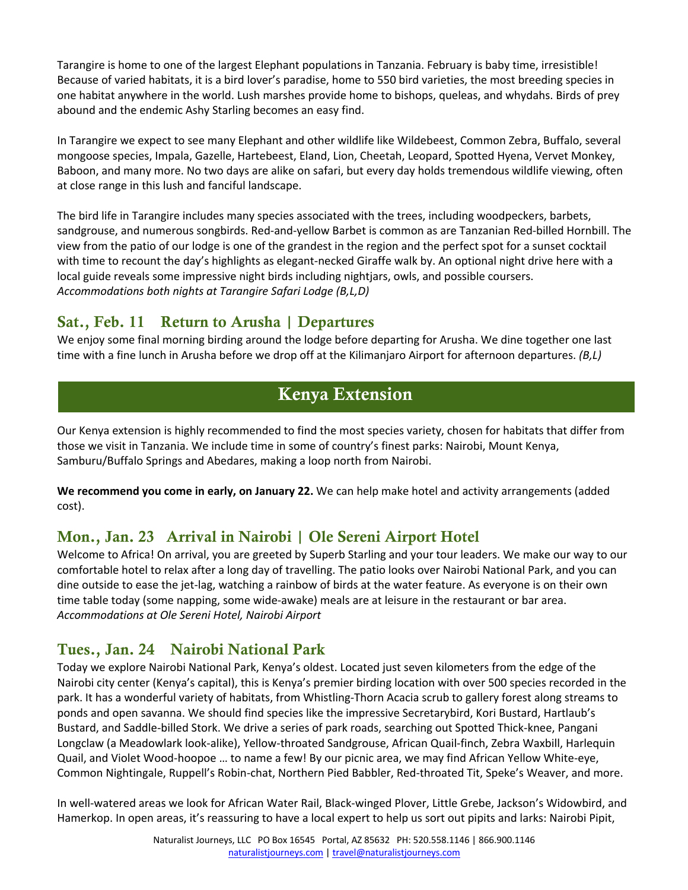Tarangire is home to one of the largest Elephant populations in Tanzania. February is baby time, irresistible! Because of varied habitats, it is a bird lover's paradise, home to 550 bird varieties, the most breeding species in one habitat anywhere in the world. Lush marshes provide home to bishops, queleas, and whydahs. Birds of prey abound and the endemic Ashy Starling becomes an easy find.

In Tarangire we expect to see many Elephant and other wildlife like Wildebeest, Common Zebra, Buffalo, several mongoose species, Impala, Gazelle, Hartebeest, Eland, Lion, Cheetah, Leopard, Spotted Hyena, Vervet Monkey, Baboon, and many more. No two days are alike on safari, but every day holds tremendous wildlife viewing, often at close range in this lush and fanciful landscape.

The bird life in Tarangire includes many species associated with the trees, including woodpeckers, barbets, sandgrouse, and numerous songbirds. Red-and-yellow Barbet is common as are Tanzanian Red-billed Hornbill. The view from the patio of our lodge is one of the grandest in the region and the perfect spot for a sunset cocktail with time to recount the day's highlights as elegant-necked Giraffe walk by. An optional night drive here with a local guide reveals some impressive night birds including nightjars, owls, and possible coursers. *Accommodations both nights at Tarangire Safari Lodge (B,L,D)*

# Sat., Feb. 11 Return to Arusha | Departures

We enjoy some final morning birding around the lodge before departing for Arusha. We dine together one last time with a fine lunch in Arusha before we drop off at the Kilimanjaro Airport for afternoon departures. *(B,L)*

# Kenya Extension

Our Kenya extension is highly recommended to find the most species variety, chosen for habitats that differ from those we visit in Tanzania. We include time in some of country's finest parks: Nairobi, Mount Kenya, Samburu/Buffalo Springs and Abedares, making a loop north from Nairobi.

**We recommend you come in early, on January 22.** We can help make hotel and activity arrangements (added cost).

# Mon., Jan. 23 Arrival in Nairobi | Ole Sereni Airport Hotel

Welcome to Africa! On arrival, you are greeted by Superb Starling and your tour leaders. We make our way to our comfortable hotel to relax after a long day of travelling. The patio looks over Nairobi National Park, and you can dine outside to ease the jet-lag, watching a rainbow of birds at the water feature. As everyone is on their own time table today (some napping, some wide-awake) meals are at leisure in the restaurant or bar area. *Accommodations at Ole Sereni Hotel, Nairobi Airport*

# Tues., Jan. 24 Nairobi National Park

Today we explore Nairobi National Park, Kenya's oldest. Located just seven kilometers from the edge of the Nairobi city center (Kenya's capital), this is Kenya's premier birding location with over 500 species recorded in the park. It has a wonderful variety of habitats, from Whistling-Thorn Acacia scrub to gallery forest along streams to ponds and open savanna. We should find species like the impressive Secretarybird, Kori Bustard, Hartlaub's Bustard, and Saddle-billed Stork. We drive a series of park roads, searching out Spotted Thick-knee, Pangani Longclaw (a Meadowlark look-alike), Yellow-throated Sandgrouse, African Quail-finch, Zebra Waxbill, Harlequin Quail, and Violet Wood-hoopoe … to name a few! By our picnic area, we may find African Yellow White-eye, Common Nightingale, Ruppell's Robin-chat, Northern Pied Babbler, Red-throated Tit, Speke's Weaver, and more.

In well-watered areas we look for African Water Rail, Black-winged Plover, Little Grebe, Jackson's Widowbird, and Hamerkop. In open areas, it's reassuring to have a local expert to help us sort out pipits and larks: Nairobi Pipit,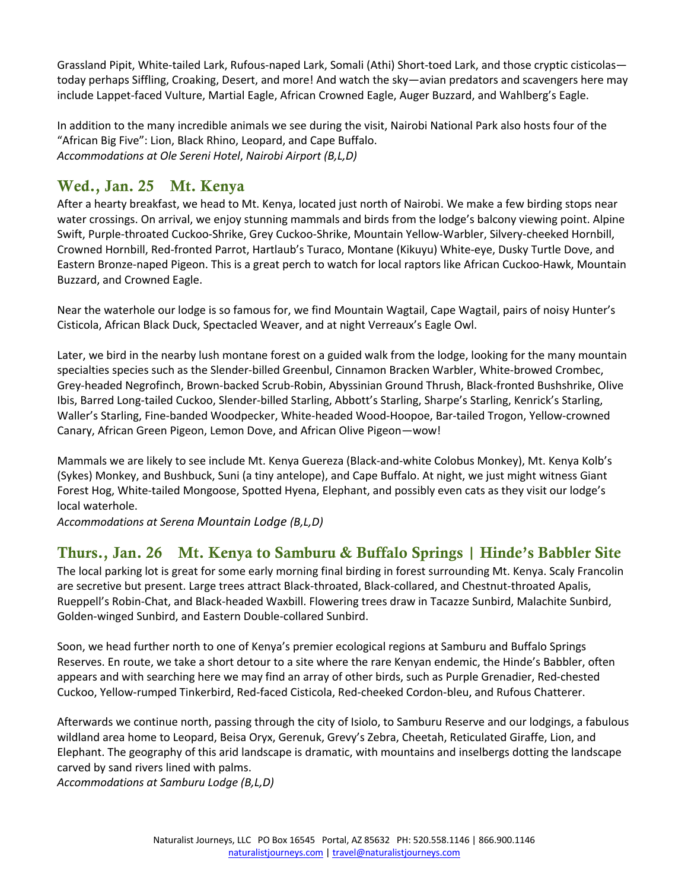Grassland Pipit, White-tailed Lark, Rufous-naped Lark, Somali (Athi) Short-toed Lark, and those cryptic cisticolas today perhaps Siffling, Croaking, Desert, and more! And watch the sky—avian predators and scavengers here may include Lappet-faced Vulture, Martial Eagle, African Crowned Eagle, Auger Buzzard, and Wahlberg's Eagle.

In addition to the many incredible animals we see during the visit, Nairobi National Park also hosts four of the "African Big Five": Lion, Black Rhino, Leopard, and Cape Buffalo. *Accommodations at Ole Sereni Hotel*, *Nairobi Airport (B,L,D)*

# Wed., Jan. 25 Mt. Kenya

After a hearty breakfast, we head to Mt. Kenya, located just north of Nairobi. We make a few birding stops near water crossings. On arrival, we enjoy stunning mammals and birds from the lodge's balcony viewing point. Alpine Swift, Purple-throated Cuckoo-Shrike, Grey Cuckoo-Shrike, Mountain Yellow-Warbler, Silvery-cheeked Hornbill, Crowned Hornbill, Red-fronted Parrot, Hartlaub's Turaco, Montane (Kikuyu) White-eye, Dusky Turtle Dove, and Eastern Bronze-naped Pigeon. This is a great perch to watch for local raptors like African Cuckoo-Hawk, Mountain Buzzard, and Crowned Eagle.

Near the waterhole our lodge is so famous for, we find Mountain Wagtail, Cape Wagtail, pairs of noisy Hunter's Cisticola, African Black Duck, Spectacled Weaver, and at night Verreaux's Eagle Owl.

Later, we bird in the nearby lush montane forest on a guided walk from the lodge, looking for the many mountain specialties species such as the Slender-billed Greenbul, Cinnamon Bracken Warbler, White-browed Crombec, Grey-headed Negrofinch, Brown-backed Scrub-Robin, Abyssinian Ground Thrush, Black-fronted Bushshrike, Olive Ibis, Barred Long-tailed Cuckoo, Slender-billed Starling, Abbott's Starling, Sharpe's Starling, Kenrick's Starling, Waller's Starling, Fine-banded Woodpecker, White-headed Wood-Hoopoe, Bar-tailed Trogon, Yellow-crowned Canary, African Green Pigeon, Lemon Dove, and African Olive Pigeon—wow!

Mammals we are likely to see include Mt. Kenya Guereza (Black-and-white Colobus Monkey), Mt. Kenya Kolb's (Sykes) Monkey, and Bushbuck, Suni (a tiny antelope), and Cape Buffalo. At night, we just might witness Giant Forest Hog, White-tailed Mongoose, Spotted Hyena, Elephant, and possibly even cats as they visit our lodge's local waterhole.

*Accommodations at Serena Mountain Lodge (B,L,D)*

#### Thurs., Jan. 26 Mt. Kenya to Samburu & Buffalo Springs | Hinde's Babbler Site

The local parking lot is great for some early morning final birding in forest surrounding Mt. Kenya. Scaly Francolin are secretive but present. Large trees attract Black-throated, Black-collared, and Chestnut-throated Apalis, Rueppell's Robin-Chat, and Black-headed Waxbill. Flowering trees draw in Tacazze Sunbird, Malachite Sunbird, Golden-winged Sunbird, and Eastern Double-collared Sunbird.

Soon, we head further north to one of Kenya's premier ecological regions at Samburu and Buffalo Springs Reserves. En route, we take a short detour to a site where the rare Kenyan endemic, the Hinde's Babbler, often appears and with searching here we may find an array of other birds, such as Purple Grenadier, Red-chested Cuckoo, Yellow-rumped Tinkerbird, Red-faced Cisticola, Red-cheeked Cordon-bleu, and Rufous Chatterer.

Afterwards we continue north, passing through the city of Isiolo, to Samburu Reserve and our lodgings, a fabulous wildland area home to Leopard, Beisa Oryx, Gerenuk, Grevy's Zebra, Cheetah, Reticulated Giraffe, Lion, and Elephant. The geography of this arid landscape is dramatic, with mountains and inselbergs dotting the landscape carved by sand rivers lined with palms.

*Accommodations at Samburu Lodge (B,L,D)*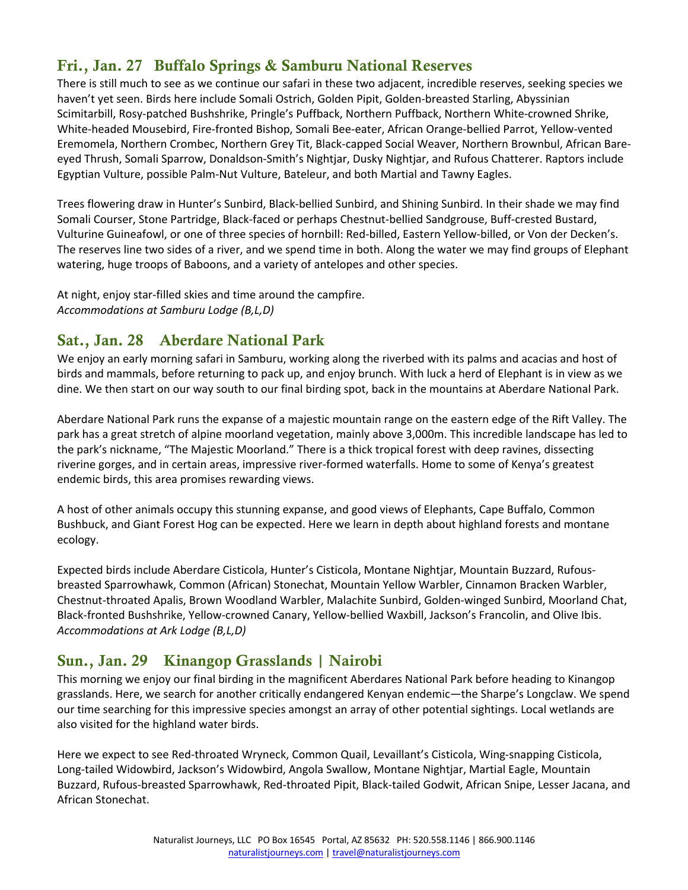# Fri., Jan. 27 Buffalo Springs & Samburu National Reserves

There is still much to see as we continue our safari in these two adjacent, incredible reserves, seeking species we haven't yet seen. Birds here include Somali Ostrich, Golden Pipit, Golden-breasted Starling, Abyssinian Scimitarbill, Rosy-patched Bushshrike, Pringle's Puffback, Northern Puffback, Northern White-crowned Shrike, White-headed Mousebird, Fire-fronted Bishop, Somali Bee-eater, African Orange-bellied Parrot, Yellow-vented Eremomela, Northern Crombec, Northern Grey Tit, Black-capped Social Weaver, Northern Brownbul, African Bareeyed Thrush, Somali Sparrow, Donaldson-Smith's Nightjar, Dusky Nightjar, and Rufous Chatterer. Raptors include Egyptian Vulture, possible Palm-Nut Vulture, Bateleur, and both Martial and Tawny Eagles.

Trees flowering draw in Hunter's Sunbird, Black-bellied Sunbird, and Shining Sunbird. In their shade we may find Somali Courser, Stone Partridge, Black-faced or perhaps Chestnut-bellied Sandgrouse, Buff-crested Bustard, Vulturine Guineafowl, or one of three species of hornbill: Red-billed, Eastern Yellow-billed, or Von der Decken's. The reserves line two sides of a river, and we spend time in both. Along the water we may find groups of Elephant watering, huge troops of Baboons, and a variety of antelopes and other species.

At night, enjoy star-filled skies and time around the campfire. *Accommodations at Samburu Lodge (B,L,D)*

# Sat., Jan. 28 Aberdare National Park

We enjoy an early morning safari in Samburu, working along the riverbed with its palms and acacias and host of birds and mammals, before returning to pack up, and enjoy brunch. With luck a herd of Elephant is in view as we dine. We then start on our way south to our final birding spot, back in the mountains at Aberdare National Park.

Aberdare National Park runs the expanse of a majestic mountain range on the eastern edge of the Rift Valley. The park has a great stretch of alpine moorland vegetation, mainly above 3,000m. This incredible landscape has led to the park's nickname, "The Majestic Moorland." There is a thick tropical forest with deep ravines, dissecting riverine gorges, and in certain areas, impressive river-formed waterfalls. Home to some of Kenya's greatest endemic birds, this area promises rewarding views.

A host of other animals occupy this stunning expanse, and good views of Elephants, Cape Buffalo, Common Bushbuck, and Giant Forest Hog can be expected. Here we learn in depth about highland forests and montane ecology.

Expected birds include Aberdare Cisticola, Hunter's Cisticola, Montane Nightjar, Mountain Buzzard, Rufousbreasted Sparrowhawk, Common (African) Stonechat, Mountain Yellow Warbler, Cinnamon Bracken Warbler, Chestnut-throated Apalis, Brown Woodland Warbler, Malachite Sunbird, Golden-winged Sunbird, Moorland Chat, Black-fronted Bushshrike, Yellow-crowned Canary, Yellow-bellied Waxbill, Jackson's Francolin, and Olive Ibis. *Accommodations at Ark Lodge (B,L,D)*

# Sun., Jan. 29 Kinangop Grasslands | Nairobi

This morning we enjoy our final birding in the magnificent Aberdares National Park before heading to Kinangop grasslands. Here, we search for another critically endangered Kenyan endemic—the Sharpe's Longclaw. We spend our time searching for this impressive species amongst an array of other potential sightings. Local wetlands are also visited for the highland water birds.

Here we expect to see Red-throated Wryneck, Common Quail, Levaillant's Cisticola, Wing-snapping Cisticola, Long-tailed Widowbird, Jackson's Widowbird, Angola Swallow, Montane Nightjar, Martial Eagle, Mountain Buzzard, Rufous-breasted Sparrowhawk, Red-throated Pipit, Black-tailed Godwit, African Snipe, Lesser Jacana, and African Stonechat.